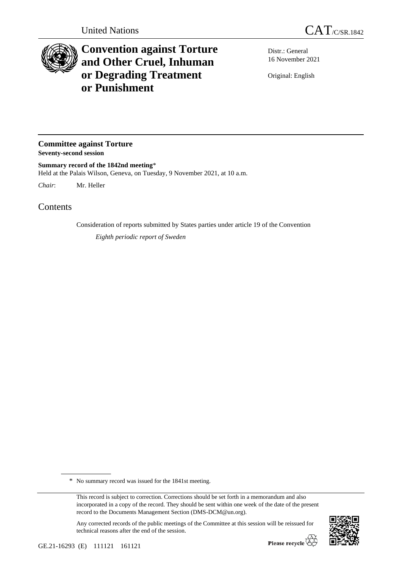

## **Convention against Torture and Other Cruel, Inhuman or Degrading Treatment or Punishment**

Distr.: General 16 November 2021

Original: English

**Committee against Torture Seventy-second session**

**Summary record of the 1842nd meeting**\* Held at the Palais Wilson, Geneva, on Tuesday, 9 November 2021, at 10 a.m.

*Chair*: Mr. Heller

Contents

Consideration of reports submitted by States parties under article 19 of the Convention

*Eighth periodic report of Sweden*

\* No summary record was issued for the 1841st meeting.

Any corrected records of the public meetings of the Committee at this session will be reissued for technical reasons after the end of the session.



This record is subject to correction. Corrections should be set forth in a memorandum and also incorporated in a copy of the record. They should be sent within one week of the date of the present record to the Documents Management Section (DMS-DCM@un.org).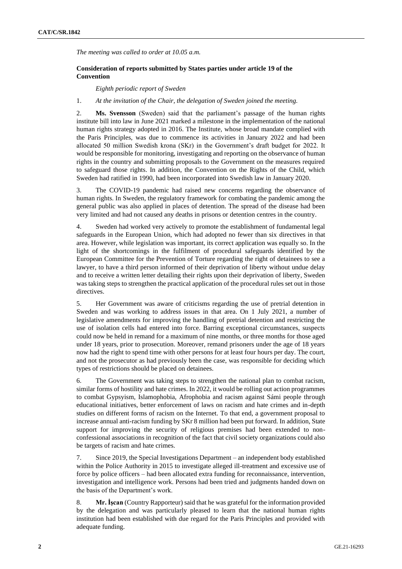*The meeting was called to order at 10.05 a.m.*

## **Consideration of reports submitted by States parties under article 19 of the Convention**

*Eighth periodic report of Sweden*

## 1. *At the invitation of the Chair, the delegation of Sweden joined the meeting.*

2. **Ms. Svensson** (Sweden) said that the parliament's passage of the human rights institute bill into law in June 2021 marked a milestone in the implementation of the national human rights strategy adopted in 2016. The Institute, whose broad mandate complied with the Paris Principles, was due to commence its activities in January 2022 and had been allocated 50 million Swedish krona (SKr) in the Government's draft budget for 2022. It would be responsible for monitoring, investigating and reporting on the observance of human rights in the country and submitting proposals to the Government on the measures required to safeguard those rights. In addition, the Convention on the Rights of the Child, which Sweden had ratified in 1990, had been incorporated into Swedish law in January 2020.

3. The COVID-19 pandemic had raised new concerns regarding the observance of human rights. In Sweden, the regulatory framework for combating the pandemic among the general public was also applied in places of detention. The spread of the disease had been very limited and had not caused any deaths in prisons or detention centres in the country.

4. Sweden had worked very actively to promote the establishment of fundamental legal safeguards in the European Union, which had adopted no fewer than six directives in that area. However, while legislation was important, its correct application was equally so. In the light of the shortcomings in the fulfilment of procedural safeguards identified by the European Committee for the Prevention of Torture regarding the right of detainees to see a lawyer, to have a third person informed of their deprivation of liberty without undue delay and to receive a written letter detailing their rights upon their deprivation of liberty, Sweden was taking steps to strengthen the practical application of the procedural rules set out in those directives.

5. Her Government was aware of criticisms regarding the use of pretrial detention in Sweden and was working to address issues in that area. On 1 July 2021, a number of legislative amendments for improving the handling of pretrial detention and restricting the use of isolation cells had entered into force. Barring exceptional circumstances, suspects could now be held in remand for a maximum of nine months, or three months for those aged under 18 years, prior to prosecution. Moreover, remand prisoners under the age of 18 years now had the right to spend time with other persons for at least four hours per day. The court, and not the prosecutor as had previously been the case, was responsible for deciding which types of restrictions should be placed on detainees.

6. The Government was taking steps to strengthen the national plan to combat racism, similar forms of hostility and hate crimes. In 2022, it would be rolling out action programmes to combat Gypsyism, Islamophobia, Afrophobia and racism against Sámi people through educational initiatives, better enforcement of laws on racism and hate crimes and in-depth studies on different forms of racism on the Internet. To that end, a government proposal to increase annual anti-racism funding by SKr 8 million had been put forward. In addition, State support for improving the security of religious premises had been extended to nonconfessional associations in recognition of the fact that civil society organizations could also be targets of racism and hate crimes.

7. Since 2019, the Special Investigations Department – an independent body established within the Police Authority in 2015 to investigate alleged ill-treatment and excessive use of force by police officers – had been allocated extra funding for reconnaissance, intervention, investigation and intelligence work. Persons had been tried and judgments handed down on the basis of the Department's work.

8. **Mr. İşcan** (Country Rapporteur) said that he was grateful for the information provided by the delegation and was particularly pleased to learn that the national human rights institution had been established with due regard for the Paris Principles and provided with adequate funding.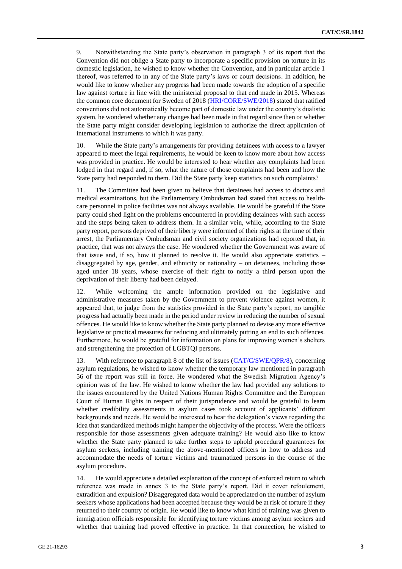9. Notwithstanding the State party's observation in paragraph 3 of its report that the Convention did not oblige a State party to incorporate a specific provision on torture in its domestic legislation, he wished to know whether the Convention, and in particular article 1 thereof, was referred to in any of the State party's laws or court decisions. In addition, he would like to know whether any progress had been made towards the adoption of a specific law against torture in line with the ministerial proposal to that end made in 2015. Whereas the common core document for Sweden of 2018 [\(HRI/CORE/SWE/2018\)](http://undocs.org/en/HRI/CORE/SWE/2018) stated that ratified conventions did not automatically become part of domestic law under the country's dualistic system, he wondered whether any changes had been made in that regard since then or whether the State party might consider developing legislation to authorize the direct application of international instruments to which it was party.

10. While the State party's arrangements for providing detainees with access to a lawyer appeared to meet the legal requirements, he would be keen to know more about how access was provided in practice. He would be interested to hear whether any complaints had been lodged in that regard and, if so, what the nature of those complaints had been and how the State party had responded to them. Did the State party keep statistics on such complaints?

11. The Committee had been given to believe that detainees had access to doctors and medical examinations, but the Parliamentary Ombudsman had stated that access to healthcare personnel in police facilities was not always available. He would be grateful if the State party could shed light on the problems encountered in providing detainees with such access and the steps being taken to address them. In a similar vein, while, according to the State party report, persons deprived of their liberty were informed of their rights at the time of their arrest, the Parliamentary Ombudsman and civil society organizations had reported that, in practice, that was not always the case. He wondered whether the Government was aware of that issue and, if so, how it planned to resolve it. He would also appreciate statistics – disaggregated by age, gender, and ethnicity or nationality – on detainees, including those aged under 18 years, whose exercise of their right to notify a third person upon the deprivation of their liberty had been delayed.

12. While welcoming the ample information provided on the legislative and administrative measures taken by the Government to prevent violence against women, it appeared that, to judge from the statistics provided in the State party's report, no tangible progress had actually been made in the period under review in reducing the number of sexual offences. He would like to know whether the State party planned to devise any more effective legislative or practical measures for reducing and ultimately putting an end to such offences. Furthermore, he would be grateful for information on plans for improving women's shelters and strengthening the protection of LGBTQI persons.

13. With reference to paragraph 8 of the list of issues [\(CAT/C/SWE/QPR/8\)](http://undocs.org/en/CAT/C/SWE/QPR/8), concerning asylum regulations, he wished to know whether the temporary law mentioned in paragraph 56 of the report was still in force. He wondered what the Swedish Migration Agency's opinion was of the law. He wished to know whether the law had provided any solutions to the issues encountered by the United Nations Human Rights Committee and the European Court of Human Rights in respect of their jurisprudence and would be grateful to learn whether credibility assessments in asylum cases took account of applicants' different backgrounds and needs. He would be interested to hear the delegation's views regarding the idea that standardized methods might hamper the objectivity of the process. Were the officers responsible for those assessments given adequate training? He would also like to know whether the State party planned to take further steps to uphold procedural guarantees for asylum seekers, including training the above-mentioned officers in how to address and accommodate the needs of torture victims and traumatized persons in the course of the asylum procedure.

14. He would appreciate a detailed explanation of the concept of enforced return to which reference was made in annex 3 to the State party's report. Did it cover refoulement, extradition and expulsion? Disaggregated data would be appreciated on the number of asylum seekers whose applications had been accepted because they would be at risk of torture if they returned to their country of origin. He would like to know what kind of training was given to immigration officials responsible for identifying torture victims among asylum seekers and whether that training had proved effective in practice. In that connection, he wished to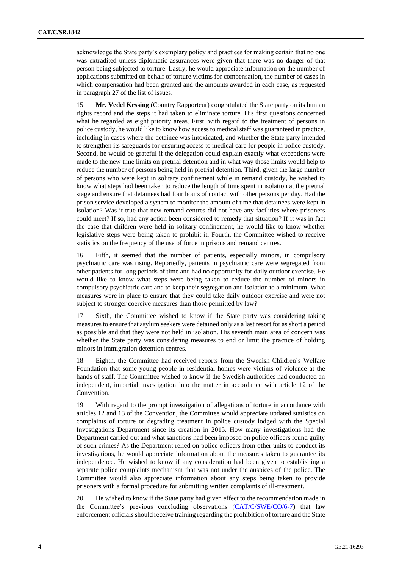acknowledge the State party's exemplary policy and practices for making certain that no one was extradited unless diplomatic assurances were given that there was no danger of that person being subjected to torture. Lastly, he would appreciate information on the number of applications submitted on behalf of torture victims for compensation, the number of cases in which compensation had been granted and the amounts awarded in each case, as requested in paragraph 27 of the list of issues.

15. **Mr. Vedel Kessing** (Country Rapporteur) congratulated the State party on its human rights record and the steps it had taken to eliminate torture. His first questions concerned what he regarded as eight priority areas. First, with regard to the treatment of persons in police custody, he would like to know how access to medical staff was guaranteed in practice, including in cases where the detainee was intoxicated, and whether the State party intended to strengthen its safeguards for ensuring access to medical care for people in police custody. Second, he would be grateful if the delegation could explain exactly what exceptions were made to the new time limits on pretrial detention and in what way those limits would help to reduce the number of persons being held in pretrial detention. Third, given the large number of persons who were kept in solitary confinement while in remand custody, he wished to know what steps had been taken to reduce the length of time spent in isolation at the pretrial stage and ensure that detainees had four hours of contact with other persons per day. Had the prison service developed a system to monitor the amount of time that detainees were kept in isolation? Was it true that new remand centres did not have any facilities where prisoners could meet? If so, had any action been considered to remedy that situation? If it was in fact the case that children were held in solitary confinement, he would like to know whether legislative steps were being taken to prohibit it. Fourth, the Committee wished to receive statistics on the frequency of the use of force in prisons and remand centres.

16. Fifth, it seemed that the number of patients, especially minors, in compulsory psychiatric care was rising. Reportedly, patients in psychiatric care were segregated from other patients for long periods of time and had no opportunity for daily outdoor exercise. He would like to know what steps were being taken to reduce the number of minors in compulsory psychiatric care and to keep their segregation and isolation to a minimum. What measures were in place to ensure that they could take daily outdoor exercise and were not subject to stronger coercive measures than those permitted by law?

17. Sixth, the Committee wished to know if the State party was considering taking measures to ensure that asylum seekers were detained only as a last resort for as short a period as possible and that they were not held in isolation. His seventh main area of concern was whether the State party was considering measures to end or limit the practice of holding minors in immigration detention centres.

18. Eighth, the Committee had received reports from the Swedish Children´s Welfare Foundation that some young people in residential homes were victims of violence at the hands of staff. The Committee wished to know if the Swedish authorities had conducted an independent, impartial investigation into the matter in accordance with article 12 of the Convention.

19. With regard to the prompt investigation of allegations of torture in accordance with articles 12 and 13 of the Convention, the Committee would appreciate updated statistics on complaints of torture or degrading treatment in police custody lodged with the Special Investigations Department since its creation in 2015. How many investigations had the Department carried out and what sanctions had been imposed on police officers found guilty of such crimes? As the Department relied on police officers from other units to conduct its investigations, he would appreciate information about the measures taken to guarantee its independence. He wished to know if any consideration had been given to establishing a separate police complaints mechanism that was not under the auspices of the police. The Committee would also appreciate information about any steps being taken to provide prisoners with a formal procedure for submitting written complaints of ill-treatment.

20. He wished to know if the State party had given effect to the recommendation made in the Committee's previous concluding observations [\(CAT/C/SWE/CO/6-7\)](http://undocs.org/en/CAT/C/SWE/CO/6-7) that law enforcement officials should receive training regarding the prohibition of torture and the State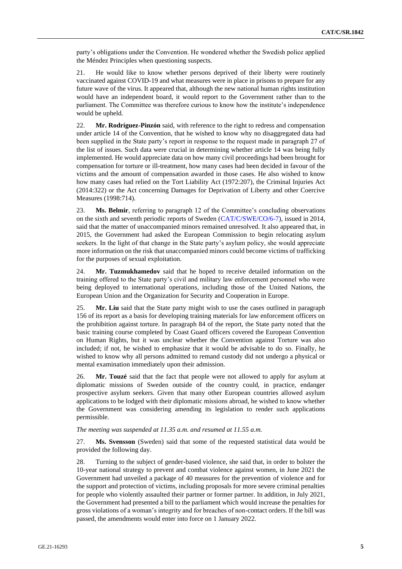party's obligations under the Convention. He wondered whether the Swedish police applied the Méndez Principles when questioning suspects.

21. He would like to know whether persons deprived of their liberty were routinely vaccinated against COVID-19 and what measures were in place in prisons to prepare for any future wave of the virus. It appeared that, although the new national human rights institution would have an independent board, it would report to the Government rather than to the parliament. The Committee was therefore curious to know how the institute's independence would be upheld.

22. **Mr. Rodríguez-Pinzón** said, with reference to the right to redress and compensation under article 14 of the Convention, that he wished to know why no disaggregated data had been supplied in the State party's report in response to the request made in paragraph 27 of the list of issues. Such data were crucial in determining whether article 14 was being fully implemented. He would appreciate data on how many civil proceedings had been brought for compensation for torture or ill-treatment, how many cases had been decided in favour of the victims and the amount of compensation awarded in those cases. He also wished to know how many cases had relied on the Tort Liability Act (1972:207), the Criminal Injuries Act (2014:322) or the Act concerning Damages for Deprivation of Liberty and other Coercive Measures (1998:714).

23. **Ms. Belmir**, referring to paragraph 12 of the Committee's concluding observations on the sixth and seventh periodic reports of Sweden [\(CAT/C/SWE/CO/6-7\)](http://undocs.org/en/CAT/C/SWE/CO/6-7), issued in 2014, said that the matter of unaccompanied minors remained unresolved. It also appeared that, in 2015, the Government had asked the European Commission to begin relocating asylum seekers. In the light of that change in the State party's asylum policy, she would appreciate more information on the risk that unaccompanied minors could become victims of trafficking for the purposes of sexual exploitation.

24. **Mr. Tuzmukhamedov** said that he hoped to receive detailed information on the training offered to the State party's civil and military law enforcement personnel who were being deployed to international operations, including those of the United Nations, the European Union and the Organization for Security and Cooperation in Europe.

25. **Mr. Liu** said that the State party might wish to use the cases outlined in paragraph 156 of its report as a basis for developing training materials for law enforcement officers on the prohibition against torture. In paragraph 84 of the report, the State party noted that the basic training course completed by Coast Guard officers covered the European Convention on Human Rights, but it was unclear whether the Convention against Torture was also included; if not, he wished to emphasize that it would be advisable to do so. Finally, he wished to know why all persons admitted to remand custody did not undergo a physical or mental examination immediately upon their admission.

26. **Mr. Touzé** said that the fact that people were not allowed to apply for asylum at diplomatic missions of Sweden outside of the country could, in practice, endanger prospective asylum seekers. Given that many other European countries allowed asylum applications to be lodged with their diplomatic missions abroad, he wished to know whether the Government was considering amending its legislation to render such applications permissible.

## *The meeting was suspended at 11.35 a.m. and resumed at 11.55 a.m.*

27. **Ms. Svensson** (Sweden) said that some of the requested statistical data would be provided the following day.

28. Turning to the subject of gender-based violence, she said that, in order to bolster the 10-year national strategy to prevent and combat violence against women, in June 2021 the Government had unveiled a package of 40 measures for the prevention of violence and for the support and protection of victims, including proposals for more severe criminal penalties for people who violently assaulted their partner or former partner. In addition, in July 2021, the Government had presented a bill to the parliament which would increase the penalties for gross violations of a woman's integrity and for breaches of non-contact orders. If the bill was passed, the amendments would enter into force on 1 January 2022.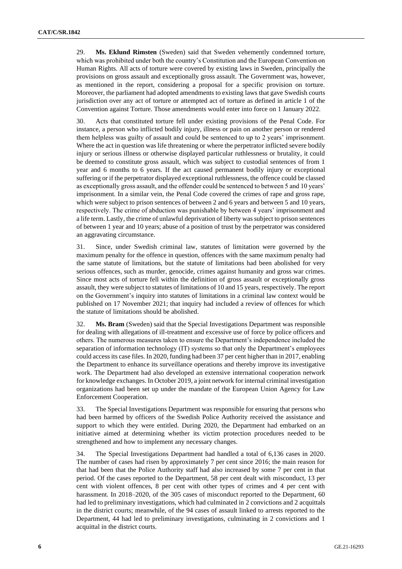29. **Ms. Eklund Rimsten** (Sweden) said that Sweden vehemently condemned torture, which was prohibited under both the country's Constitution and the European Convention on Human Rights. All acts of torture were covered by existing laws in Sweden, principally the provisions on gross assault and exceptionally gross assault. The Government was, however, as mentioned in the report, considering a proposal for a specific provision on torture. Moreover, the parliament had adopted amendments to existing laws that gave Swedish courts jurisdiction over any act of torture or attempted act of torture as defined in article 1 of the Convention against Torture. Those amendments would enter into force on 1 January 2022.

30. Acts that constituted torture fell under existing provisions of the Penal Code. For instance, a person who inflicted bodily injury, illness or pain on another person or rendered them helpless was guilty of assault and could be sentenced to up to 2 years' imprisonment. Where the act in question was life threatening or where the perpetrator inflicted severe bodily injury or serious illness or otherwise displayed particular ruthlessness or brutality, it could be deemed to constitute gross assault, which was subject to custodial sentences of from 1 year and 6 months to 6 years. If the act caused permanent bodily injury or exceptional suffering or if the perpetrator displayed exceptional ruthlessness, the offence could be classed as exceptionally gross assault, and the offender could be sentenced to between 5 and 10 years' imprisonment. In a similar vein, the Penal Code covered the crimes of rape and gross rape, which were subject to prison sentences of between 2 and 6 years and between 5 and 10 years, respectively. The crime of abduction was punishable by between 4 years' imprisonment and a life term. Lastly, the crime of unlawful deprivation of liberty was subject to prison sentences of between 1 year and 10 years; abuse of a position of trust by the perpetrator was considered an aggravating circumstance.

31. Since, under Swedish criminal law, statutes of limitation were governed by the maximum penalty for the offence in question, offences with the same maximum penalty had the same statute of limitations, but the statute of limitations had been abolished for very serious offences, such as murder, genocide, crimes against humanity and gross war crimes. Since most acts of torture fell within the definition of gross assault or exceptionally gross assault, they were subject to statutes of limitations of 10 and 15 years, respectively. The report on the Government's inquiry into statutes of limitations in a criminal law context would be published on 17 November 2021; that inquiry had included a review of offences for which the statute of limitations should be abolished.

32. **Ms. Bram** (Sweden) said that the Special Investigations Department was responsible for dealing with allegations of ill-treatment and excessive use of force by police officers and others. The numerous measures taken to ensure the Department's independence included the separation of information technology (IT) systems so that only the Department's employees could access its case files. In 2020, funding had been 37 per cent higher than in 2017, enabling the Department to enhance its surveillance operations and thereby improve its investigative work. The Department had also developed an extensive international cooperation network for knowledge exchanges. In October 2019, a joint network for internal criminal investigation organizations had been set up under the mandate of the European Union Agency for Law Enforcement Cooperation.

33. The Special Investigations Department was responsible for ensuring that persons who had been harmed by officers of the Swedish Police Authority received the assistance and support to which they were entitled. During 2020, the Department had embarked on an initiative aimed at determining whether its victim protection procedures needed to be strengthened and how to implement any necessary changes.

34. The Special Investigations Department had handled a total of 6,136 cases in 2020. The number of cases had risen by approximately 7 per cent since 2016; the main reason for that had been that the Police Authority staff had also increased by some 7 per cent in that period. Of the cases reported to the Department, 58 per cent dealt with misconduct, 13 per cent with violent offences, 8 per cent with other types of crimes and 4 per cent with harassment. In 2018–2020, of the 305 cases of misconduct reported to the Department, 60 had led to preliminary investigations, which had culminated in 2 convictions and 2 acquittals in the district courts; meanwhile, of the 94 cases of assault linked to arrests reported to the Department, 44 had led to preliminary investigations, culminating in 2 convictions and 1 acquittal in the district courts.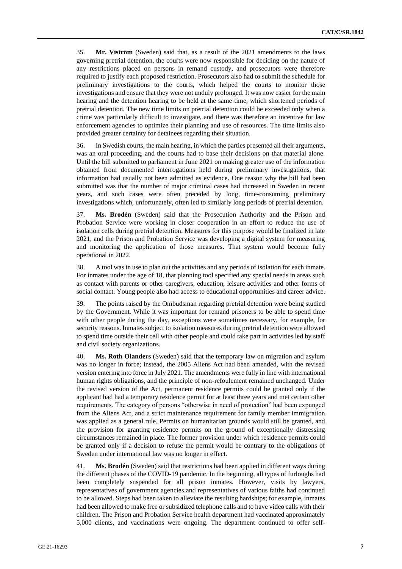35. **Mr. Viström** (Sweden) said that, as a result of the 2021 amendments to the laws governing pretrial detention, the courts were now responsible for deciding on the nature of any restrictions placed on persons in remand custody, and prosecutors were therefore required to justify each proposed restriction. Prosecutors also had to submit the schedule for preliminary investigations to the courts, which helped the courts to monitor those investigations and ensure that they were not unduly prolonged. It was now easier for the main hearing and the detention hearing to be held at the same time, which shortened periods of pretrial detention. The new time limits on pretrial detention could be exceeded only when a crime was particularly difficult to investigate, and there was therefore an incentive for law enforcement agencies to optimize their planning and use of resources. The time limits also provided greater certainty for detainees regarding their situation.

36. In Swedish courts, the main hearing, in which the parties presented all their arguments, was an oral proceeding, and the courts had to base their decisions on that material alone. Until the bill submitted to parliament in June 2021 on making greater use of the information obtained from documented interrogations held during preliminary investigations, that information had usually not been admitted as evidence. One reason why the bill had been submitted was that the number of major criminal cases had increased in Sweden in recent years, and such cases were often preceded by long, time-consuming preliminary investigations which, unfortunately, often led to similarly long periods of pretrial detention.

37. **Ms. Brodén** (Sweden) said that the Prosecution Authority and the Prison and Probation Service were working in closer cooperation in an effort to reduce the use of isolation cells during pretrial detention. Measures for this purpose would be finalized in late 2021, and the Prison and Probation Service was developing a digital system for measuring and monitoring the application of those measures. That system would become fully operational in 2022.

38. A tool was in use to plan out the activities and any periods of isolation for each inmate. For inmates under the age of 18, that planning tool specified any special needs in areas such as contact with parents or other caregivers, education, leisure activities and other forms of social contact. Young people also had access to educational opportunities and career advice.

39. The points raised by the Ombudsman regarding pretrial detention were being studied by the Government. While it was important for remand prisoners to be able to spend time with other people during the day, exceptions were sometimes necessary, for example, for security reasons. Inmates subject to isolation measures during pretrial detention were allowed to spend time outside their cell with other people and could take part in activities led by staff and civil society organizations.

40. **Ms. Roth Olanders** (Sweden) said that the temporary law on migration and asylum was no longer in force; instead, the 2005 Aliens Act had been amended, with the revised version entering into force in July 2021. The amendments were fully in line with international human rights obligations, and the principle of non-refoulement remained unchanged. Under the revised version of the Act, permanent residence permits could be granted only if the applicant had had a temporary residence permit for at least three years and met certain other requirements. The category of persons "otherwise in need of protection" had been expunged from the Aliens Act, and a strict maintenance requirement for family member immigration was applied as a general rule. Permits on humanitarian grounds would still be granted, and the provision for granting residence permits on the ground of exceptionally distressing circumstances remained in place. The former provision under which residence permits could be granted only if a decision to refuse the permit would be contrary to the obligations of Sweden under international law was no longer in effect.

41. **Ms. Brodén** (Sweden) said that restrictions had been applied in different ways during the different phases of the COVID-19 pandemic. In the beginning, all types of furloughs had been completely suspended for all prison inmates. However, visits by lawyers, representatives of government agencies and representatives of various faiths had continued to be allowed. Steps had been taken to alleviate the resulting hardships; for example, inmates had been allowed to make free or subsidized telephone calls and to have video calls with their children. The Prison and Probation Service health department had vaccinated approximately 5,000 clients, and vaccinations were ongoing. The department continued to offer self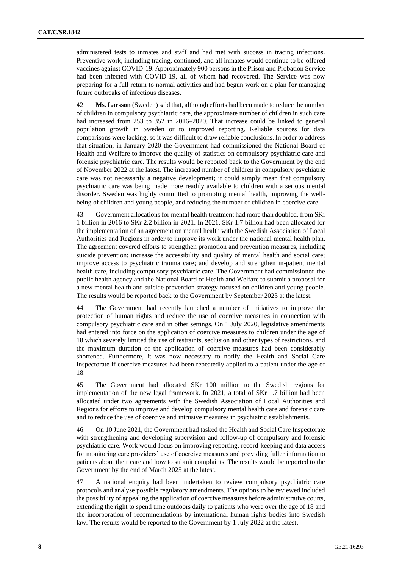administered tests to inmates and staff and had met with success in tracing infections. Preventive work, including tracing, continued, and all inmates would continue to be offered vaccines against COVID-19. Approximately 900 persons in the Prison and Probation Service had been infected with COVID-19, all of whom had recovered. The Service was now preparing for a full return to normal activities and had begun work on a plan for managing future outbreaks of infectious diseases.

42. **Ms. Larsson** (Sweden) said that, although efforts had been made to reduce the number of children in compulsory psychiatric care, the approximate number of children in such care had increased from 253 to 352 in 2016–2020. That increase could be linked to general population growth in Sweden or to improved reporting. Reliable sources for data comparisons were lacking, so it was difficult to draw reliable conclusions. In order to address that situation, in January 2020 the Government had commissioned the National Board of Health and Welfare to improve the quality of statistics on compulsory psychiatric care and forensic psychiatric care. The results would be reported back to the Government by the end of November 2022 at the latest. The increased number of children in compulsory psychiatric care was not necessarily a negative development; it could simply mean that compulsory psychiatric care was being made more readily available to children with a serious mental disorder. Sweden was highly committed to promoting mental health, improving the wellbeing of children and young people, and reducing the number of children in coercive care.

43. Government allocations for mental health treatment had more than doubled, from SKr 1 billion in 2016 to SKr 2.2 billion in 2021. In 2021, SKr 1.7 billion had been allocated for the implementation of an agreement on mental health with the Swedish Association of Local Authorities and Regions in order to improve its work under the national mental health plan. The agreement covered efforts to strengthen promotion and prevention measures, including suicide prevention; increase the accessibility and quality of mental health and social care; improve access to psychiatric trauma care; and develop and strengthen in-patient mental health care, including compulsory psychiatric care. The Government had commissioned the public health agency and the National Board of Health and Welfare to submit a proposal for a new mental health and suicide prevention strategy focused on children and young people. The results would be reported back to the Government by September 2023 at the latest.

44. The Government had recently launched a number of initiatives to improve the protection of human rights and reduce the use of coercive measures in connection with compulsory psychiatric care and in other settings. On 1 July 2020, legislative amendments had entered into force on the application of coercive measures to children under the age of 18 which severely limited the use of restraints, seclusion and other types of restrictions, and the maximum duration of the application of coercive measures had been considerably shortened. Furthermore, it was now necessary to notify the Health and Social Care Inspectorate if coercive measures had been repeatedly applied to a patient under the age of 18.

45. The Government had allocated SKr 100 million to the Swedish regions for implementation of the new legal framework. In 2021, a total of SKr 1.7 billion had been allocated under two agreements with the Swedish Association of Local Authorities and Regions for efforts to improve and develop compulsory mental health care and forensic care and to reduce the use of coercive and intrusive measures in psychiatric establishments.

46. On 10 June 2021, the Government had tasked the Health and Social Care Inspectorate with strengthening and developing supervision and follow-up of compulsory and forensic psychiatric care. Work would focus on improving reporting, record-keeping and data access for monitoring care providers' use of coercive measures and providing fuller information to patients about their care and how to submit complaints. The results would be reported to the Government by the end of March 2025 at the latest.

47. A national enquiry had been undertaken to review compulsory psychiatric care protocols and analyse possible regulatory amendments. The options to be reviewed included the possibility of appealing the application of coercive measures before administrative courts, extending the right to spend time outdoors daily to patients who were over the age of 18 and the incorporation of recommendations by international human rights bodies into Swedish law. The results would be reported to the Government by 1 July 2022 at the latest.